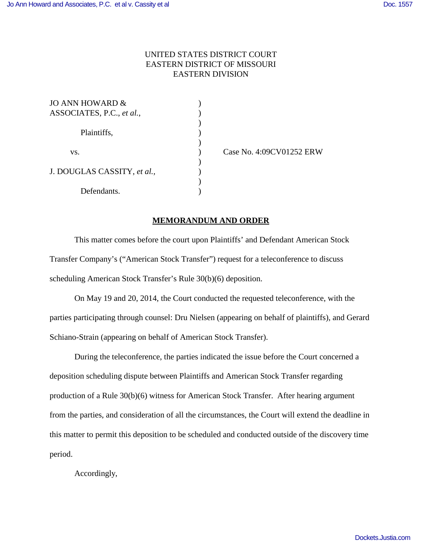## UNITED STATES DISTRICT COURT EASTERN DISTRICT OF MISSOURI EASTERN DIVISION

)

)

 $\mathcal{L}$ 

)

| JO ANN HOWARD &             |  |
|-----------------------------|--|
| ASSOCIATES, P.C., et al.,   |  |
|                             |  |
| Plaintiffs,                 |  |
|                             |  |
| VS.                         |  |
|                             |  |
| J. DOUGLAS CASSITY, et al., |  |
|                             |  |
| Defendants.                 |  |

) Case No. 4:09CV01252 ERW

## **MEMORANDUM AND ORDER**

This matter comes before the court upon Plaintiffs' and Defendant American Stock Transfer Company's ("American Stock Transfer") request for a teleconference to discuss scheduling American Stock Transfer's Rule 30(b)(6) deposition.

On May 19 and 20, 2014, the Court conducted the requested teleconference, with the parties participating through counsel: Dru Nielsen (appearing on behalf of plaintiffs), and Gerard Schiano-Strain (appearing on behalf of American Stock Transfer).

During the teleconference, the parties indicated the issue before the Court concerned a deposition scheduling dispute between Plaintiffs and American Stock Transfer regarding production of a Rule 30(b)(6) witness for American Stock Transfer. After hearing argument from the parties, and consideration of all the circumstances, the Court will extend the deadline in this matter to permit this deposition to be scheduled and conducted outside of the discovery time period.

Accordingly,